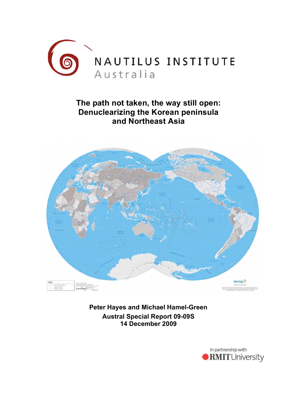

# **The path not taken, the way still open: Denuclearizing the Korean peninsula and Northeast Asia**



**Peter Hayes and Michael Hamel-Green Austral Special Report 09-09S 14 December 2009**

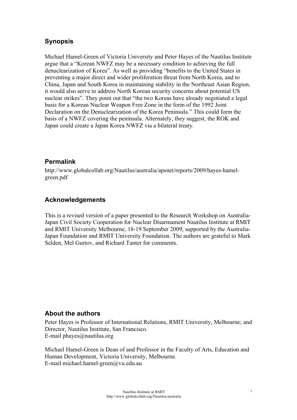# **Synopsis**

Michael Hamel-Green of Victoria University and Peter Hayes of the Nautilus Institute argue that a "Korean NWFZ may be a necessary condition to achieving the full denuclearization of Korea". As well as providing "benefits to the United States in preventing a major direct and wider proliferation threat from North Korea, and to China, Japan and South Korea in maintaining stability in the Northeast Asian Region, it would also serve to address North Korean security concerns about potential US nuclear strikes". They point out that "the two Koreas have already negotiated a legal basis for a Korean Nuclear Weapon Free Zone in the form of the 1992 Joint Declaration on the Denuclearization of the Korea Peninsula." This could form the basis of a NWFZ covering the peninsula. Alternately, they suggest, the ROK and Japan could create a Japan Korea NWFZ via a bilateral treaty.

#### **Permalink**

http://www.globalcollab.org/Nautilus/australia/apsnet/reports/2009/hayes-hamelgreen.pdf

#### **Acknowledgements**

This is a revised version of a paper presented to the Research Workshop on Australia-Japan Civil Society Cooperation for Nuclear Disarmament Nautilus Institute at RMIT and RMIT University Melbourne, 18-19 September 2009, supported by the Australia-Japan Foundation and RMIT University Foundation. The authors are grateful to Mark Selden, Mel Gurtov, and Richard Tanter for comments.

#### **About the authors**

Peter Hayes is Professor of International Relations, RMIT University, Melbourne; and Director, Nautilus Institute, San Francisco. E-mail phayes@nautilus.org

Michael Hamel-Green is Dean of and Professor in the Faculty of Arts, Education and Human Development, Victoria University, Melbourne. E-mail michael.hamel-green@vu.edu.au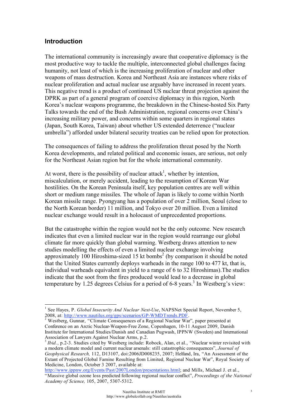#### **Introduction**

The international community is increasingly aware that cooperative diplomacy is the most productive way to tackle the multiple, interconnected global challenges facing humanity, not least of which is the increasing proliferation of nuclear and other weapons of mass destruction. Korea and Northeast Asia are instances where risks of nuclear proliferation and actual nuclear use arguably have increased in recent years. This negative trend is a product of continued US nuclear threat projection against the DPRK as part of a general program of coercive diplomacy in this region, North Korea's nuclear weapons programme, the breakdown in the Chinese-hosted Six Party Talks towards the end of the Bush Administration, regional concerns over China's increasing military power, and concerns within some quarters in regional states (Japan, South Korea, Taiwan) about whether US extended deterrence ("nuclear umbrella") afforded under bilateral security treaties can be relied upon for protection.

The consequences of failing to address the proliferation threat posed by the North Korea developments, and related political and economic issues, are serious, not only for the Northeast Asian region but for the whole international community.

At worst, there is the possibility of nuclear attack<sup>1</sup>, whether by intention, miscalculation, or merely accident, leading to the resumption of Korean War hostilities. On the Korean Peninsula itself, key population centres are well within short or medium range missiles. The whole of Japan is likely to come within North Korean missile range. Pyongyang has a population of over 2 million, Seoul (close to the North Korean border) 11 million, and Tokyo over 20 million. Even a limited nuclear exchange would result in a holocaust of unprecedented proportions.

But the catastrophe within the region would not be the only outcome. New research indicates that even a limited nuclear war in the region would rearrange our global climate far more quickly than global warming. Westberg draws attention to new studies modelling the effects of even a limited nuclear exchange involving approximately  $100$  Hiroshima-sized 15 kt bombs<sup>2</sup> (by comparison it should be noted that the United States currently deploys warheads in the range 100 to 477 kt, that is, individual warheads equivalent in yield to a range of 6 to 32 Hiroshimas).The studies indicate that the soot from the fires produced would lead to a decrease in global temperature by 1.25 degrees Celsius for a period of 6-8 years.<sup>3</sup> In Westberg's view:

<sup>2</sup> Westberg, Gunnar, "Climate Consequences of a Regional Nuclear War", paper presented at Conference on an Arctic Nuclear-Weapon-Free Zone, Copenhagen, 10-11 August 2009, Danish Institute for International Studies/Danish and Canadian Pugwash, IPPNW (Sweden) and International Association of Lawyers Against Nuclear Arms, p.2.

<sup>3</sup> *Ibid.*, p.2-3. Studies cited by Westberg include: Robock, Alan, et al., "Nuclear winter revisited with a modern climate model and current nuclear arsenals: still catastrophic consequences", *Journal of Geophysical Research,* 112, D13107, doi:2006JD008235, 2007; Helfand, Ira, "An Assessment of the Extant of Projected Global Famine Resulting from Limited, Regional Nuclear War", Royal Society of Medicine, London, October 3 2007, available at:

http://www.ippnw.org/Events/Past/2007London/presentations.html; and Mills, Michael J. et al., "Massive global ozone loss predicted following regional nuclear conflict", *Proceedings of the National Academy of Science,* 105, 2007, 5307-5312.

 <sup>1</sup> See Hayes, P. *Global Insecurity And Nuclear Next-Use*, NAPSNet Special Report, November 5, 2008, at: http://www.nautilus.org/gps/scenarios/GP-WMDTrends.PDF. <sup>2</sup>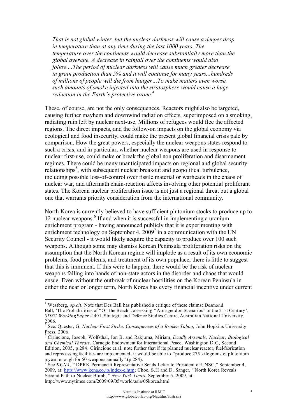*That is not global winter, but the nuclear darkness will cause a deeper drop in temperature than at any time during the last 1000 years. The temperature over the continents would decrease substantially more than the global average. A decrease in rainfall over the continents would also follow…The period of nuclear darkness will cause much greater decrease in grain production than 5% and it will continue for many years...hundreds of millions of people will die from hunger…To make matters even worse, such amounts of smoke injected into the stratosphere would cause a huge reduction in the Earth's protective ozone.4*

These, of course, are not the only consequences. Reactors might also be targeted, causing further mayhem and downwind radiation effects, superimposed on a smoking, radiating ruin left by nuclear next-use. Millions of refugees would flee the affected regions. The direct impacts, and the follow-on impacts on the global economy via ecological and food insecurity, could make the present global financial crisis pale by comparison. How the great powers, especially the nuclear weapons states respond to such a crisis, and in particular, whether nuclear weapons are used in response to nuclear first-use, could make or break the global non proliferation and disarmament regimes. There could be many unanticipated impacts on regional and global security relationships<sup>5</sup>, with subsequent nuclear breakout and geopolitical turbulence, including possible loss-of-control over fissile material or warheads in the chaos of nuclear war, and aftermath chain-reaction affects involving other potential proliferant states. The Korean nuclear proliferation issue is not just a regional threat but a global one that warrants priority consideration from the international community.

North Korea is currently believed to have sufficient plutonium stocks to produce up to 12 nuclear weapons.<sup>6</sup> If and when it is successful in implementing a uranium enrichment program - having announced publicly that it is experimenting with enrichment technology on September 4,  $2009<sup>7</sup>$  in a communication with the UN Security Council - it would likely acquire the capacity to produce over 100 such weapons. Although some may dismiss Korean Peninsula proliferation risks on the assumption that the North Korean regime will implode as a result of its own economic problems, food problems, and treatment of its own populace, there is little to suggest that this is imminent. If this were to happen, there would be the risk of nuclear weapons falling into hands of non-state actors in the disorder and chaos that would ensue. Even without the outbreak of nuclear hostilities on the Korean Peninsula in either the near or longer term, North Korea has every financial incentive under current

<sup>&</sup>lt;sup>4</sup> Westberg, *op.cit.* Note that Des Ball has published a critique of these claims: Desmond Ball, 'The Probabilities of "On the Beach": assessing "Armageddon Scenarios" in the 21st Century', *SDSC WorkingPaper #* 401, Strategic and Defence Studies Centre, Australian National University, 2006.

<sup>5</sup> See. Quester, G. *Nuclear First Strike, Consequences of a Broken Taboo*, John Hopkins University Press, 2006.

Cirincione, Joseph, Wolfsthal, Jon B. and Rakjuma, Miriam, *Deadly Arsenals: Nuclear, Biological and Chemical Threats,* Carnegie Endowment for International Peace, Washington D.C, Second Edition, 2005, p.284. Cirincione et.al. note further that if its planned nuclear reactor, fuel-fabrication and reprocessing facilities are implemented, it would be able to "produce 275 kilograms of plutonium a year, enough for 50 weapons annually" (p.284).

<sup>7</sup> See *KCNA*, " DPRK Permanent Representative Sends Letter to President of UNSC," September 4, 2009, at: http://www.kcna.co.jp/index-e.htm; Choe, S.H and D. Sanger, "North Korea Reveals Second Path to Nuclear Bomb*," New York Times*, September 5, 2009, at: http://www.nytimes.com/2009/09/05/world/asia/05korea.html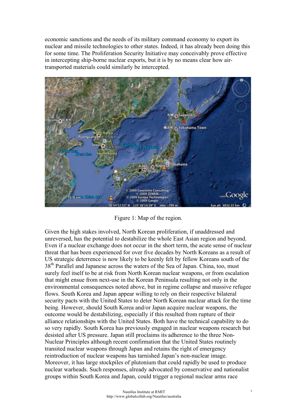economic sanctions and the needs of its military command economy to export its nuclear and missile technologies to other states. Indeed, it has already been doing this for some time. The Proliferation Security Initiative may conceivably prove effective in intercepting ship-borne nuclear exports, but it is by no means clear how airtransported materials could similarly be intercepted.



Figure 1: Map of the region.

Given the high stakes involved, North Korean proliferation, if unaddressed and unreversed, has the potential to destabilize the whole East Asian region and beyond. Even if a nuclear exchange does not occur in the short term, the acute sense of nuclear threat that has been experienced for over five decades by North Koreans as a result of US strategic deterrence is now likely to be keenly felt by fellow Koreans south of the 38<sup>th</sup> Parallel and Japanese across the waters of the Sea of Japan. China, too, must surely feel itself to be at risk from North Korean nuclear weapons, or from escalation that might ensue from next-use in the Korean Peninsula resulting not only in the environmental consequences noted above, but in regime collapse and massive refugee flows. South Korea and Japan appear willing to rely on their respective bilateral security pacts with the United States to deter North Korean nuclear attack for the time being. However, should South Korea and/or Japan acquire nuclear weapons, the outcome would be destabilizing, especially if this resulted from rupture of their alliance relationships with the United States. Both have the technical capability to do so very rapidly. South Korea has previously engaged in nuclear weapons research but desisted after US pressure. Japan still proclaims its adherence to the three Non-Nuclear Principles although recent confirmation that the United States routinely transited nuclear weapons through Japan and retains the right of emergency reintroduction of nuclear weapons has tarnished Japan's non-nuclear image. Moreover, it has large stockpiles of plutonium that could rapidly be used to produce nuclear warheads. Such responses, already advocated by conservative and nationalist groups within South Korea and Japan, could trigger a regional nuclear arms race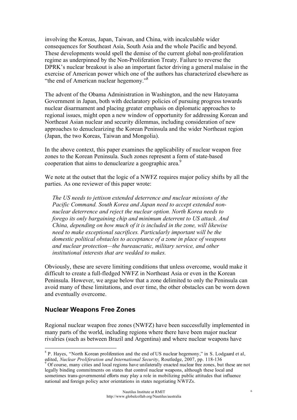involving the Koreas, Japan, Taiwan, and China, with incalculable wider consequences for Southeast Asia, South Asia and the whole Pacific and beyond. These developments would spell the demise of the current global non-proliferation regime as underpinned by the Non-Proliferation Treaty. Failure to reverse the DPRK's nuclear breakout is also an important factor driving a general malaise in the exercise of American power which one of the authors has characterized elsewhere as "the end of American nuclear hegemony."8

The advent of the Obama Administration in Washington, and the new Hatoyama Government in Japan, both with declaratory policies of pursuing progress towards nuclear disarmament and placing greater emphasis on diplomatic approaches to regional issues, might open a new window of opportunity for addressing Korean and Northeast Asian nuclear and security dilemmas, including consideration of new approaches to denuclearizing the Korean Peninsula and the wider Northeast region (Japan, the two Koreas, Taiwan and Mongolia).

In the above context, this paper examines the applicability of nuclear weapon free zones to the Korean Peninsula. Such zones represent a form of state-based cooperation that aims to denuclearize a geographic area.<sup>9</sup>

We note at the outset that the logic of a NWFZ requires major policy shifts by all the parties. As one reviewer of this paper wrote:

*The US needs to jettison extended deterrence and nuclear missions of the Pacific Command. South Korea and Japan need to accept extended nonnuclear deterrence and reject the nuclear option. North Korea needs to forego its only bargaining chip and minimum deterrent to US attack. And China, depending on how much of it is included in the zone, will likewise need to make exceptional sacrifices. Particularly important will be the domestic political obstacles to acceptance of a zone in place of weapons and nuclear protection—the bureaucratic, military service, and other institutional interests that are wedded to nukes.*

Obviously, these are severe limiting conditions that unless overcome, would make it difficult to create a full-fledged NWFZ in Northeast Asia or even in the Korean Peninsula. However, we argue below that a zone delimited to only the Peninsula can avoid many of these limitations, and over time, the other obstacles can be worn down and eventually overcome.

#### **Nuclear Weapons Free Zones**

Regional nuclear weapon free zones (NWFZ) have been successfully implemented in many parts of the world, including regions where there have been major nuclear rivalries (such as between Brazil and Argentina) and where nuclear weapons have

 <sup>8</sup> <sup>8</sup> P. Hayes, "North Korean proliferation and the end of US nuclear hegemony," in S. Lodgaard et al, edited, *Nuclear Proliferation and International Security*, Routledge, 2007, pp. 118-136

Of course, many cities and local regions have unilaterally enacted nuclear free zones, but these are not legally binding commitments on states that control nuclear weapons, although these local and sometimes trans-governmental efforts may play a role in mobilizing public attitudes that influence national and foreign policy actor orientations in states negotiating NWFZs.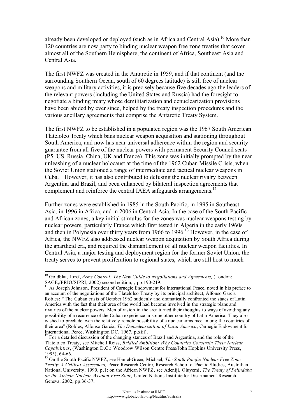already been developed or deployed (such as in Africa and Central Asia).<sup>10</sup> More than 120 countries are now party to binding nuclear weapon free zone treaties that cover almost all of the Southern Hemisphere, the continent of Africa, Southeast Asia and Central Asia.

The first NWFZ was created in the Antarctic in 1959, and if that continent (and the surrounding Southern Ocean, south of 60 degrees latitude) is still free of nuclear weapons and military activities, it is precisely because five decades ago the leaders of the relevant powers (including the United States and Russia) had the foresight to negotiate a binding treaty whose demilitarization and denuclearization provisions have been abided by ever since, helped by the treaty inspection procedures and the various ancillary agreements that comprise the Antarctic Treaty System.

The first NWFZ to be established in a populated region was the 1967 South American Tlatelolco Treaty which bans nuclear weapon acquisition and stationing throughout South America, and now has near universal adherence within the region and security guarantee from all five of the nuclear powers with permanent Security Council seats (P5: US, Russia, China, UK and France). This zone was initially prompted by the near unleashing of a nuclear holocaust at the time of the 1962 Cuban Missile Crisis, when the Soviet Union stationed a range of intermediate and tactical nuclear weapons in Cuba.<sup>11</sup> However, it has also contributed to defusing the nuclear rivalry between Argentina and Brazil, and been enhanced by bilateral inspection agreements that complement and reinforce the central IAEA safeguards arrangements.<sup>12</sup>

Further zones were established in 1985 in the South Pacific, in 1995 in Southeast Asia, in 1996 in Africa, and in 2006 in Central Asia. In the case of the South Pacific and African zones, a key initial stimulus for the zones was nuclear weapons testing by nuclear powers, particularly France which first tested in Algeria in the early 1960s and then in Polynesia over thirty years from 1966 to 1996.<sup>13</sup> However, in the case of Africa, the NWFZ also addressed nuclear weapon acquisition by South Africa during the apartheid era, and required the dismantlement of all nuclear weapon facilities. In Central Asia, a major testing and deployment region for the former Soviet Union, the treaty serves to prevent proliferation to regional states, which are still host to much

<sup>&</sup>lt;sup>10</sup> Goldblat, Jozef, Arms Control: The New Guide to Negotiations and Agreements, (London: SAGE,/PRIO/SIPRI, 2002) second edition, , pp.190-219.<br><sup>11</sup> As Joseph Johnson, President of Carnegie Endowment for International Peace, noted in his preface to

an account of the negotiations of the Tlatelolco Treaty by its principal architect, Alfonso Garcia Robles: "The Cuban crisis of October 1962 suddenly and dramatically confronted the states of Latin America with the fact that their area of the world had become involved in the strategic plans and rivalries of the nuclear powers. Men of vision in the area turned their thoughts to ways of avoiding any possibility of a recurrence of the Cuban experience in some other country of Latin America. They also wished to preclude even the relatively remote possibility of a nuclear arms race among the countries of their area" (Robles, Alfonso Garcia, *The Denuclearization of Latin America*, Carnegie Endowment for International Peace, Washington DC, 1967, p.xiii).

<sup>&</sup>lt;sup>12</sup> For a detailed discussion of the changing stances of Brazil and Argentina, and the role of the Tlatelolco Treaty, see Mitchell Reiss, *Bridled Ambition: Why Countries Constrain Their Nuclear Capabilities*, (Washington D.C.: Woodrow Wilson Centre Press/John Hopkins University Press,

<sup>&</sup>lt;sup>13</sup> On the South Pacific NWFZ, see Hamel-Green, Michael, *The South Pacific Nuclear Free Zone Treaty: A Critical Assessment,* Peace Research Centre, Research School of Pacific Studies, Australian National University, 1990, p.1; on the African NWFZ, see Adeniji, Oluyemi, *The Treaty of Pelindaba on the African Nuclear-Weapon-Free Zone,* United Nations Institute for Disarmament Research, Geneva, 2002, pp.36-37.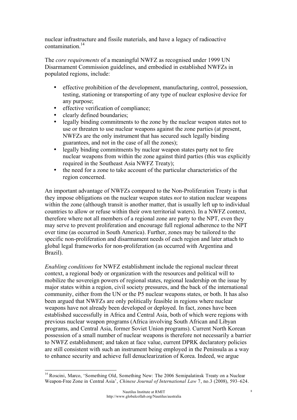nuclear infrastructure and fissile materials, and have a legacy of radioactive contamination.14

The *core requirements* of a meaningful NWFZ as recognised under 1999 UN Disarmament Commission guidelines, and embodied in established NWFZs in populated regions, include:

- effective prohibition of the development, manufacturing, control, possession, testing, stationing or transporting of any type of nuclear explosive device for any purpose;
- effective verification of compliance;
- clearly defined boundaries;
- legally binding commitments to the zone by the nuclear weapon states not to use or threaten to use nuclear weapons against the zone parties (at present, NWFZs are the only instrument that has secured such legally binding guarantees, and not in the case of all the zones);
- legally binding commitments by nuclear weapon states party not to fire nuclear weapons from within the zone against third parties (this was explicitly required in the Southeast Asia NWFZ Treaty);
- the need for a zone to take account of the particular characteristics of the region concerned.

An important advantage of NWFZs compared to the Non-Proliferation Treaty is that they impose obligations on the nuclear weapon states *not* to station nuclear weapons within the zone (although transit is another matter, that is usually left up to individual countries to allow or refuse within their own territorial waters). In a NWFZ context, therefore where not all members of a regional zone are party to the NPT, even they may serve to prevent proliferation and encourage full regional adherence to the NPT over time (as occurred in South America). Further, zones may be tailored to the specific non-proliferation and disarmament needs of each region and later attach to global legal frameworks for non-proliferation (as occurred with Argentina and Brazil).

*Enabling conditions* for NWFZ establishment include the regional nuclear threat context, a regional body or organization with the resources and political will to mobilize the sovereign powers of regional states, regional leadership on the issue by major states within a region, civil society pressures, and the back of the international community, either from the UN or the P5 nuclear weapons states, or both. It has also been argued that NWFZs are only politically feasible in regions where nuclear weapons have not already been developed or deployed. In fact, zones have been established successfully in Africa and Central Asia, both of which were regions with previous nuclear weapon programs (Africa involving South African and Libyan programs, and Central Asia, former Soviet Union programs). Current North Korean possession of a small number of nuclear weapons is therefore not necessarily a barrier to NWFZ establishment; and taken at face value, current DPRK declaratory policies are still consistent with such an instrument being employed in the Peninsula as a way to enhance security and achieve full denuclearization of Korea. Indeed, we argue

<sup>&</sup>lt;sup>14</sup> Roscini, Marco, 'Something Old, Something New: The 2006 Semipalatinsk Treaty on a Nuclear Weapon-Free Zone in Central Asia', *Chinese Journal of International Law* 7, no.3 (2008), 593–624.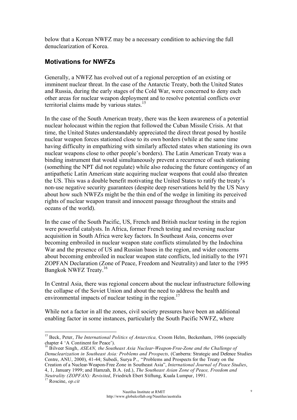below that a Korean NWFZ may be a necessary condition to achieving the full denuclearization of Korea.

#### **Motivations for NWFZs**

Generally, a NWFZ has evolved out of a regional perception of an existing or imminent nuclear threat. In the case of the Antarctic Treaty, both the United States and Russia, during the early stages of the Cold War, were concerned to deny each other areas for nuclear weapon deployment and to resolve potential conflicts over territorial claims made by various states.<sup>15</sup>

In the case of the South American treaty, there was the keen awareness of a potential nuclear holocaust within the region that followed the Cuban Missile Crisis. At that time, the United States understandably appreciated the direct threat posed by hostile nuclear weapon forces stationed close to its own borders (while at the same time having difficulty in empathizing with similarly affected states when stationing its own nuclear weapons close to other people's borders). The Latin American Treaty was a binding instrument that would simultaneously prevent a recurrence of such stationing (something the NPT did not regulate) while also reducing the future contingency of an antipathetic Latin American state acquiring nuclear weapons that could also threaten the US. This was a double benefit motivating the United States to ratify the treaty's non-use negative security guarantees (despite deep reservations held by the US Navy about how such NWFZs might be the thin end of the wedge in limiting its perceived rights of nuclear weapon transit and innocent passage throughout the straits and oceans of the world).

In the case of the South Pacific, US, French and British nuclear testing in the region were powerful catalysts. In Africa, former French testing and reversing nuclear acquisition in South Africa were key factors. In Southeast Asia, concerns over becoming embroiled in nuclear weapon state conflicts stimulated by the Indochina War and the presence of US and Russian bases in the region, and wider concerns about becoming embroiled in nuclear weapon state conflicts, led initially to the 1971 ZOPFAN Declaration (Zone of Peace, Freedom and Neutrality) and later to the 1995 Bangkok NWFZ Treaty.16

In Central Asia, there was regional concern about the nuclear infrastructure following the collapse of the Soviet Union and about the need to address the health and environmental impacts of nuclear testing in the region.<sup>17</sup>

While not a factor in all the zones, civil society pressures have been an additional enabling factor in some instances, particularly the South Pacific NWFZ, where

<sup>&</sup>lt;sup>15</sup> Beck, Peter, *The International Politics of Antarctica*, Croom Helm, Beckenham, 1986 (especially chapter 4 'A Continent for Peace').<br><sup>16</sup> Bilveer Singh, *ASEAN, the Southeast Asia Nuclear-Weapon-Free-Zone and the Challenge of* 

*Denuclearization in Southeast Asia: Problems and Prospects,* (Canberra: Strategic and Defence Studies Centre, ANU, 2000), 41-44; Subedi, Surya P., "Problems and Prospects for the Treaty on the Creation of a Nuclear-Weapon-Free Zone in Southeast Asia", *International Journal of Peace Studies*, 4, 1, January 1999; and Hamzah, B.A. (ed.), *The Southeast Asian Zone of Peace, Freedom and Neutrality (ZOPFAN): Revisited*, Friedrich Ebert Stiftung, Kuala Lumpur, 1991. 17 Roscine, *op.cit*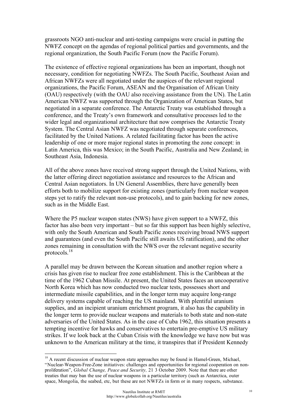grassroots NGO anti-nuclear and anti-testing campaigns were crucial in putting the NWFZ concept on the agendas of regional political parties and governments, and the regional organization, the South Pacific Forum (now the Pacific Forum).

The existence of effective regional organizations has been an important, though not necessary, condition for negotiating NWFZs. The South Pacific, Southeast Asian and African NWFZs were all negotiated under the auspices of the relevant regional organizations, the Pacific Forum, ASEAN and the Organisation of African Unity (OAU) respectively (with the OAU also receiving assistance from the UN). The Latin American NWFZ was supported through the Organization of American States, but negotiated in a separate conference. The Antarctic Treaty was established through a conference, and the Treaty's own framework and consultative processes led to the wider legal and organizational architecture that now comprises the Antarctic Treaty System. The Central Asian NWFZ was negotiated through separate conferences, facilitated by the United Nations. A related facilitating factor has been the active leadership of one or more major regional states in promoting the zone concept: in Latin America, this was Mexico; in the South Pacific, Australia and New Zealand; in Southeast Asia, Indonesia.

All of the above zones have received strong support through the United Nations, with the latter offering direct negotiation assistance and resources to the African and Central Asian negotiators. In UN General Assemblies, there have generally been efforts both to mobilize support for existing zones (particularly from nuclear weapon steps yet to ratify the relevant non-use protocols), and to gain backing for new zones, such as in the Middle East.

Where the P5 nuclear weapon states (NWS) have given support to a NWFZ, this factor has also been very important – but so far this support has been highly selective, with only the South American and South Pacific zones receiving broad NWS support and guarantees (and even the South Pacific still awaits US ratification), and the other zones remaining in consultation with the NWS over the relevant negative security protocols.<sup>18</sup>

A parallel may be drawn between the Korean situation and another region where a crisis has given rise to nuclear free zone establishment. This is the Caribbean at the time of the 1962 Cuban Missile. At present, the United States faces an uncooperative North Korea which has now conducted two nuclear tests, possesses short and intermediate missile capabilities, and in the longer term may acquire long-range delivery systems capable of reaching the US mainland. With plentiful uranium supplies, and an incipient uranium enrichment program, it also has the capability in the longer term to provide nuclear weapons and materials to both state and non-state adversaries of the United States. As in the case of Cuba 1962, this situation presents a tempting incentive for hawks and conservatives to entertain pre-emptive US military strikes. If we look back at the Cuban Crisis with the knowledge we have now but was unknown to the American military at the time, it transpires that if President Kennedy

<sup>&</sup>lt;sup>18</sup> A recent discussion of nuclear weapon state approaches may be found in Hamel-Green, Michael, "Nuclear-Weapon-Free-Zone initiatives: challenges and opportunities for regional cooperation on nonproliferation", *Global Change, Peace and Security*, 21 3 October 2009. Note that there are other treaties that may ban the use of nuclear weapons in a particular territory (such as Antarctica, outer space, Mongolia, the seabed, etc, but these are not NWFZs in form or in many respects, substance.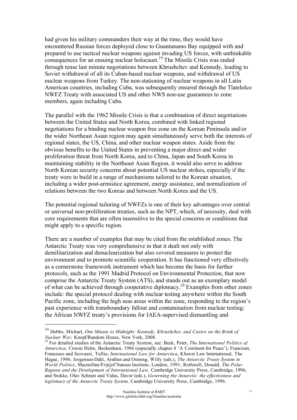had given his military commanders their way at the time, they would have encountered Russian forces deployed close to Guantanamo Bay equipped with and prepared to use tactical nuclear weapons against invading US forces, with unthinkable consequences for an ensuing nuclear holocaust.<sup>19</sup> The Missile Crisis was ended through tense last minute negotiations between Khrushchev and Kennedy, leading to Soviet withdrawal of all its Cuban-based nuclear weapons, and withdrawal of US nuclear weapons from Turkey. The non-stationing of nuclear weapons in all Latin American countries, including Cuba, was subsequently ensured through the Tlatelolco NWFZ Treaty with associated US and other NWS non-use guarantees to zone members, again including Cuba.

The parallel with the 1962 Missile Crisis is that a combination of direct negotiations between the United States and North Korea, combined with linked regional negotiations for a binding nuclear weapon free zone on the Korean Peninsula and/or the wider Northeast Asian region may again simultaneously serve both the interests of regional states, the US, China, and other nuclear weapon states. Aside from the obvious benefits to the United States in preventing a major direct and wider proliferation threat from North Korea, and to China, Japan and South Korea in maintaining stability in the Northeast Asian Region, it would also serve to address North Korean security concerns about potential US nuclear strikes, especially if the treaty were to build in a range of mechanisms tailored to the Korean situation, including a wider post-armistice agreement, energy assistance, and normalization of relations between the two Koreas and between North Korea and the US.

The potential regional tailoring of NWFZs is one of their key advantages over central or universal non-proliferation treaties, such as the NPT, which, of necessity, deal with core requirements that are often insensitive to the special concerns or conditions that might apply to a specific region.

There are a number of examples that may be cited from the established zones. The Antarctic Treaty was very comprehensive in that it dealt not only with demilitarization and denuclearization but also covered measures to protect the environment and to promote scientific cooperation. It has functioned very effectively as a cornerstone framework instrument which has become the basis for further protocols, such as the 1991 Madrid Protocol on Environmental Protection, that now comprise the Antarctic Treaty System (ATS), and stands out as an exemplary model of what can be achieved through cooperative diplomacy.20 Examples from other zones include: the special protocol dealing with nuclear testing anywhere within the South Pacific zone, including the high seas areas within the zone, responding to the region's past experience with transboundary fallout and contamination from nuclear testing; the African NWFZ treaty's provisions for IAEA-supervised dismantling and

<sup>&</sup>lt;sup>19</sup> Dobbs, Michael, *One Minute to Midnight: Kennedy, Khrushchev, and Castro on the Brink of Nuclear War, Knopf/Random House, New York, 2008.* 

<sup>&</sup>lt;sup>20</sup> For detailed studies of the Antarctic Treaty System, see: Beck, Peter, *The International Politics of Antarctica,* Croom Helm, Beckenham, 1986 (especially chapter 4 'A Continent for Peace'); Francioni, Francesco and Scovazzi, Tullio, *International Law for Antarctica*, Kluwer Law International, The Hague, 1996; Jorgensen-Dahl, Arnfinn and Ostreng, Willy (eds.), *The Antarctic Treaty System in World Politics*, Macmillan/Frijtjof Nansen Institute, London, 1991; Rothwell, Donald, *The Polar Regions and the Development of International Law,* Cambridge University Press, Cambridge, 1996; and Stokke, Olav Schram and Vidas, Davor (eds.), *Governing the Antarctic: the effectiveness and legitimacy of the Antarctic Treaty System,* Cambridge University Press, Cambridge, 1996.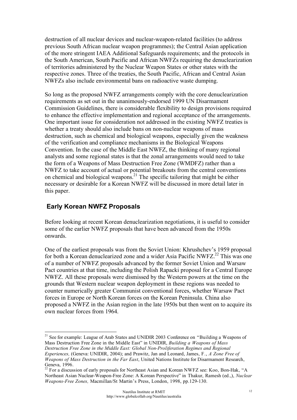destruction of all nuclear devices and nuclear-weapon-related facilities (to address previous South African nuclear weapon programmes); the Central Asian application of the more stringent IAEA Additional Safeguards requirements; and the protocols in the South American, South Pacific and African NWFZs requiring the denuclearization of territories administered by the Nuclear Weapon States or other states with the respective zones. Three of the treaties, the South Pacific, African and Central Asian NWFZs also include environmental bans on radioactive waste dumping.

So long as the proposed NWFZ arrangements comply with the core denuclearization requirements as set out in the unanimously-endorsed 1999 UN Disarmament Commission Guidelines, there is considerable flexibility to design provisions required to enhance the effective implementation and regional acceptance of the arrangements. One important issue for consideration not addressed in the existing NWFZ treaties is whether a treaty should also include bans on non-nuclear weapons of mass destruction, such as chemical and biological weapons, especially given the weakness of the verification and compliance mechanisms in the Biological Weapons Convention. In the case of the Middle East NWFZ, the thinking of many regional analysts and some regional states is that the zonal arrangements would need to take the form of a Weapons of Mass Destruction Free Zone (WMDFZ) rather than a NWFZ to take account of actual or potential breakouts from the central conventions on chemical and biological weapons.<sup>21</sup> The specific tailoring that might be either necessary or desirable for a Korean NWFZ will be discussed in more detail later in this paper.

### **Early Korean NWFZ Proposals**

Before looking at recent Korean denuclearization negotiations, it is useful to consider some of the earlier NWFZ proposals that have been advanced from the 1950s onwards.

One of the earliest proposals was from the Soviet Union: Khrushchev's 1959 proposal for both a Korean denuclearized zone and a wider Asia Pacific NWFZ.<sup>22</sup> This was one of a number of NWFZ proposals advanced by the former Soviet Union and Warsaw Pact countries at that time, including the Polish Rapacki proposal for a Central Europe NWFZ. All these proposals were dismissed by the Western powers at the time on the grounds that Western nuclear weapon deployment in these regions was needed to counter numerically greater Communist conventional forces, whether Warsaw Pact forces in Europe or North Korean forces on the Korean Peninsula. China also proposed a NWFZ in the Asian region in the late 1950s but then went on to acquire its own nuclear forces from 1964.

<sup>&</sup>lt;sup>21</sup> See for example: League of Arab States and UNIDIR 2003 Conference on "Building a Weapons of Mass Destruction Free Zone in the Middle East" in UNIDIR, *Building a Weapons of Mass Destruction Free Zone in the Middle East: Global Non-Proliferation Regimes and Regional Experiences,* (Geneva: UNIDIR, 2004); and Prawitz, Jan and Leonard, James, F., *A Zone Free of Weapons of Mass Destruction in the Far East*, United Nations Institute for Disarmament Research, Geneva, 1996.

<sup>22</sup> For a discussion of early proposals for Northeast Asian and Korean NWFZ see: Koo, Bon-Hak, "A Northeast Asian Nuclear-Weapon-Free Zone: A Korean Perspective" in Thakur, Ramesh (ed.,), *Nuclear Weapons-Free Zones,* Macmillan/St Martin's Press, London, 1998, pp.129-130.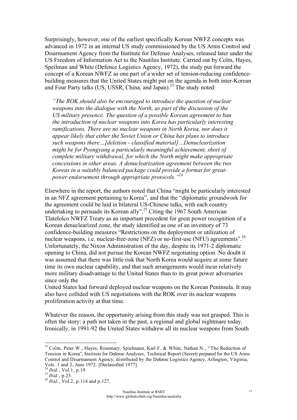Surprisingly, however, one of the earliest specifically Korean NWFZ concepts was advanced in 1972 in an internal US study commissioned by the US Arms Control and Disarmament Agency from the Institute for Defense Analyses, released later under the US Freedom of Information Act to the Nautilus Institute. Carried out by Colm, Hayes, Speilman and White (Defence Logistics Agency, 1972), the study put forward the concept of a Korean NWFZ as one part of a wider set of tension-reducing confidencebuilding measures that the United States might put on the agenda in both inter-Korean and Four Party talks (US, USSR, China, and Japan).<sup>23</sup> The study noted:

*"The ROK should also be encouraged to introduce the question of nuclear weapons into the dialogue with the North, as part of the discussion of the US military presence. The question of a possible Korean agreement to ban the introduction of nuclear weapons into Korea has particularly interesting ramifications. There are no nuclear weapons in North Korea, nor does it appear likely that either the Soviet Union or China has plans to introduce such weapons there…[deletion - classified material]…Denuclearization might be for Pyongyang a particularly meaningful achievement, short of complete military withdrawal, for which the North might make appropriate concessions in other areas. A denuclearization agreement between the two Koreas in a suitably balanced package could provide a format for greatpower endorsement through appropriate protocols."24*

Elsewhere in the report, the authors noted that China "might be particularly interested in an NFZ agreement pertaining to Korea", and that the "diplomatic groundwork for the agreement could be laid in bilateral US-Chinese talks, with each country undertaking to persuade its Korean ally".<sup>25</sup> Citing the 1967 South American Tlatelolco NWFZ Treaty as an important precedent for great power recognition of a Korean denuclearized zone, the study identified as one of an inventory of 73 confidence-building measures "Restrictions on the deployment or utilization of nuclear weapons, i.e. nuclear-free-zone (NFZ) or no-first-use (NFU) agreements".<sup>26</sup> Unfortunately, the Nixon Administration of the day, despite its 1971-2 diplomatic opening to China, did not pursue the Korean NWFZ negotiating option. No doubt it was assumed that there was little risk that North Korea would acquire at some future time its own nuclear capability, and that such arrangements would incur relatively more military disadvantage to the United States than to its great power adversaries since only the

United States had forward deployed nuclear weapons on the Korean Peninsula. It may also have collided with US negotiations with the ROK over its nuclear weapons proliferation activity at that time.

Whatever the reason, the opportunity arising from this study was not grasped. This is often the story: a path not taken in the past, a regional and global nightmare today. Ironically, in 1991-92 the United States withdrew all its nuclear weapons from South

<sup>&</sup>lt;sup>23</sup> Colm, Peter W., Hayes, Rosemary, Spielmann, Karl F. & White, Nathan N., "The Reduction of Tension in Korea", Institute for Defense Analyses, Technical Report (Secret) prepared for the US Arms Control and Disarmament Agency, distributed by the Defense Logistics Agency, Arlington, Virginia, Vols. 1 and 2, June 1972. [Declassified 1977].<br><sup>24</sup> *Ibid.*, Vol.1, p.19.

*<sup>25</sup> Ibid.*, vol.1, p.12.<br><sup>25</sup> *Ibid.*, p.23.<br><sup>26</sup> *Ibid.*, Vol.2, p.114 and p.127.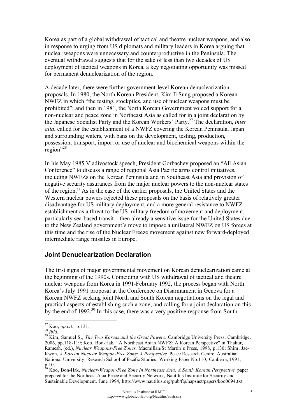Korea as part of a global withdrawal of tactical and theatre nuclear weapons, and also in response to urging from US diplomats and military leaders in Korea arguing that nuclear weapons were unnecessary and counterproductive in the Peninsula. The eventual withdrawal suggests that for the sake of less than two decades of US deployment of tactical weapons in Korea, a key negotiating opportunity was missed for permanent denuclearization of the region.

A decade later, there were further government-level Korean denuclearization proposals. In 1980, the North Korean President, Kim Il Sung proposed a Korean NWFZ in which "the testing, stockpiles, and use of nuclear weapons must be prohibited"; and then in 1981, the North Korean Government voiced support for a non-nuclear and peace zone in Northeast Asia as called for in a joint declaration by the Japanese Socialist Party and the Korean Workers' Party.27 The declaration, *inter alia*, called for the establishment of a NWFZ covering the Korean Peninsula, Japan and surrounding waters, with bans on the development, testing, production, possession, transport, import or use of nuclear and biochemical weapons within the region"<sup>28</sup>

In his May 1985 Vladivostock speech, President Gorbachev proposed an "All Asian Conference" to discuss a range of regional Asia Pacific arms control initiatives, including NWFZs on the Korean Peninsula and in Southeast Asia and provision of negative security assurances from the major nuclear powers to the non-nuclear states of the region.29 As in the case of the earlier proposals, the United States and the Western nuclear powers rejected these proposals on the basis of relatively greater disadvantage for US military deployment, and a more general resistance to NWFZestablishment as a threat to the US military freedom of movement and deployment, particularly sea-based transit—then already a sensitive issue for the United States due to the New Zealand government's move to impose a unilateral NWFZ on US forces at this time and the rise of the Nuclear Freeze movement against new forward-deployed intermediate range missiles in Europe.

#### **Joint Denuclearization Declaration**

The first signs of major governmental movement on Korean denuclearization came at the beginning of the 1990s. Coinciding with US withdrawal of tactical and theatre nuclear weapons from Korea in 1991-February 1992, the process began with North Korea's July 1991 proposal at the Conference on Disarmament in Geneva for a Korean NWFZ seeking joint North and South Korean negotiations on the legal and practical aspects of establishing such a zone, and calling for a joint declaration on this by the end of 1992.<sup>30</sup> In this case, there was a very positive response from South

<sup>&</sup>lt;sup>27</sup> Koo, *op.cit.*, p.131.<br><sup>28</sup> *Ibid.* 29 *Ibid.* 29 Kim, Samuel S., *The Two Koreas and the Great Powers, Cambridge University Press, Cambridge,* 2006, pp.118-119; Koo, Bon-Hak, "A Northeast Asian NWFZ: A Korean Perspective" in Thakur, Ramesh, (ed.), *Nuclear Weapons-Free Zones,* Macmillan/St Martin's Press, 1998, p.130; Shim, Jae-Kwon, *A Korean Nuclear Weapon-Free Zone: A Perspective,* Peace Research Centre, Australian National University, Research School of Pacific Studies, Working Paper No.110, Canberra, 1991, p.10.

<sup>30</sup> Koo, Bon-Hak, *Nuclear-Weapon-Free Zone In Northeast Asia: A South Korean Perspective,* paper prepared for the Northeast Asia Peace and Security Network, Nautilus Institute for Security and Sustainable Development, June 1994, http://www.nautilus.org/pub/ftp/napsnet/papers/koo0694.txt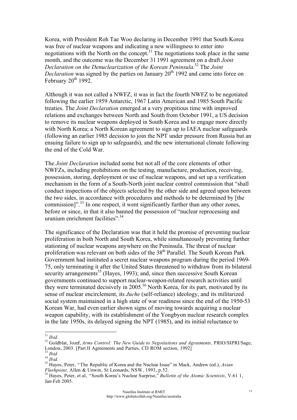Korea, with President Roh Tae Woo declaring in December 1991 that South Korea was free of nuclear weapons and indicating a new willingness to enter into negotiations with the North on the concept.31 The negotiations took place in the same month, and the outcome was the December 31 1991 agreement on a draft *Joint Declaration on the Denuclearization of the Korean Peninsula*. 32 The *Joint Declaration* was signed by the parties on January 20<sup>th</sup> 1992 and came into force on February  $20^{th}$  1992.

Although it was not called a NWFZ, it was in fact the fourth NWFZ to be negotiated following the earlier 1959 Antarctic, 1967 Latin American and 1985 South Pacific treaties. The *Joint Declaration* emerged at a very propitious time with improved relations and exchanges between North and South from October 1991, a US decision to remove its nuclear weapons deployed in South Korea and to engage more directly with North Korea; a North Korean agreement to sign up to IAEA nuclear safeguards (following an earlier 1985 decision to join the NPT under pressure from Russia but an ensuing failure to sign up to safeguards), and the new international climate following the end of the Cold War.

The *Joint Declaration* included some but not all of the core elements of other NWFZs, including prohibitions on the testing, manufacture, production, receiving, possession, storing, deployment or use of nuclear weapons, and set up a verification mechanism in the form of a South-North joint nuclear control commission that "shall conduct inspections of the objects selected by the other side and agreed upon between the two sides, in accordance with procedures and methods to be determined by [the commission]<sup>". 33</sup> In one respect, it went significantly further than any other zones, before or since, in that it also banned the possession of "nuclear reprocessing and uranium enrichment facilities"<sup>34</sup>

The significance of the Declaration was that it held the promise of preventing nuclear proliferation in both North and South Korea, while simultaneously preventing further stationing of nuclear weapons anywhere on the Peninsula. The threat of nuclear proliferation was relevant on both sides of the 38<sup>th</sup> Parallel. The South Korean Park Government had instituted a secret nuclear weapons program during the period 1969- 75, only terminating it after the United States threatened to withdraw from its bilateral security arrangements<sup>35</sup> (Hayes, 1993); and, since then successive South Korean governments continued to support nuclear-weapon-related research activities until they were terminated decisively in  $2005$ <sup>36</sup> North Korea, for its part, motivated by its sense of nuclear encirclement, its *Juche* (self-reliance) ideology, and its militarized social system maintained in a high state of war readiness since the end of the 1950-53 Korean War, had even earlier shown signs of moving towards acquiring a nuclear weapon capability, with its establishment of the Yongbyon nuclear research complex in the late 1950s, its delayed signing the NPT (1985), and its initial reluctance to

<sup>&</sup>lt;sup>31</sup> *Ibid.* 32<br><sup>32</sup> Goldblat, Jozef, *Arms Control: The New Guide to Negotiations and Agreements*, PRIO/SIPRI/Sage, London, 2003. [Part II Agreements and Parties, CD ROM section, 1992]

<sup>&</sup>lt;sup>33</sup> *Ibid.*<br><sup>34</sup> *Ibid.* 35 Hayes, Peter, "The Republic of Korea and the Nuclear Issue" in Mack, Andrew (ed.), *Asian Flashpoint*, Allen & Unwin, St Leonards, NSW, 1993, p.52.

*Flashpoint, Allen & Unwin, St Leonards, NSW, 1993, p.52.*<br><sup>36</sup> Hayes, Peter, et al, "South Korea's Nuclear Surprise," *Bulletin of the Atomic Scientists*, V.61 1, Jan-Feb 2005.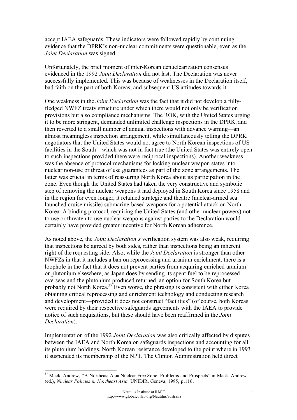accept IAEA safeguards. These indicators were followed rapidly by continuing evidence that the DPRK's non-nuclear commitments were questionable, even as the *Joint Declaration* was signed.

Unfortunately, the brief moment of inter-Korean denuclearization consensus evidenced in the 1992 *Joint Declaration* did not last. The Declaration was never successfully implemented. This was because of weaknesses in the Declaration itself, bad faith on the part of both Koreas, and subsequent US attitudes towards it.

One weakness in the *Joint Declaration* was the fact that it did not develop a fullyfledged NWFZ treaty structure under which there would not only be verification provisions but also compliance mechanisms. The ROK, with the United States urging it to be more stringent, demanded unlimited challenge inspections in the DPRK, and then reverted to a small number of annual inspections with advance warning—an almost meaningless inspection arrangement, while simultaneously telling the DPRK negotiators that the United States would not agree to North Korean inspections of US facilities in the South—which was not in fact true (the United States was entirely open to such inspections provided there were reciprocal inspections). Another weakness was the absence of protocol mechanisms for locking nuclear weapon states into nuclear non-use or threat of use guarantees as part of the zone arrangements. The latter was crucial in terms of reassuring North Korea about its participation in the zone. Even though the United States had taken the very constructive and symbolic step of removing the nuclear weapons it had deployed in South Korea since 1958 and in the region for even longer, it retained strategic and theatre (nuclear-armed sea launched cruise missile) submarine-based weapons for a potential attack on North Korea. A binding protocol, requiring the United States (and other nuclear powers) not to use or threaten to use nuclear weapons against parties to the Declaration would certainly have provided greater incentive for North Korean adherence.

As noted above, the *Joint Declaration's* verification system was also weak, requiring that inspections be agreed by both sides, rather than inspections being an inherent right of the requesting side. Also, while the *Joint Declaration* is stronger than other NWFZs in that it includes a ban on reprocessing and uranium enrichment, there is a loophole in the fact that it does not prevent parties from acquiring enriched uranium or plutonium elsewhere, as Japan does by sending its spent fuel to be reprocessed overseas and the plutonium produced returned, an option for South Korea but probably not North Korea.<sup>37</sup> Even worse, the phrasing is consistent with either Korea obtaining critical reprocessing and enrichment technology and conducting research and development—provided it does not construct "facilities" (of course, both Koreas were required by their respective safeguards agreements with the IAEA to provide notice of such acquisitions, but these should have been reaffirmed in the *Joint Declaration*).

Implementation of the 1992 *Joint Declaration* was also critically affected by disputes between the IAEA and North Korea on safeguards inspections and accounting for all its plutonium holdings. North Korean resistance developed to the point where in 1993 it suspended its membership of the NPT. The Clinton Administration held direct

<sup>&</sup>lt;sup>37</sup> Mack, Andrew, "A Northeast Asia Nuclear-Free Zone: Problems and Prospects" in Mack, Andrew (ed.), *Nuclear Policies in Northeast Asia,* UNIDIR, Geneva, 1995, p.116.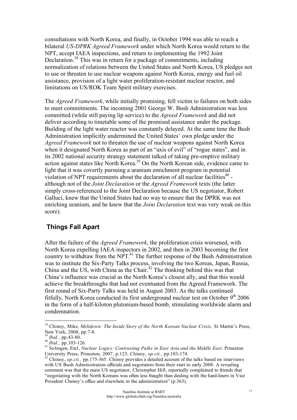consultations with North Korea, and finally, in October 1994 was able to reach a bilateral *US-DPRK Agreed Framework* under which North Korea would return to the NPT, accept IAEA inspections, and return to implementing the 1992 Joint Declaration.<sup>38</sup> This was in return for a package of commitments, including normalization of relations between the United States and North Korea, US pledges not to use or threaten to use nuclear weapons against North Korea, energy and fuel oil assistance, provision of a light water proliferation-resistant nuclear reactor, and limitations on US/ROK Team Spirit military exercises.

The *Agreed Framework*, while initially promising, fell victim to failures on both sides to meet commitments. The incoming 2001 George W. Bush Administration was less committed (while still paying lip service) to the *Agreed Framework* and did not deliver according to timetable some of the promised assistance under the package. Building of the light water reactor was constantly delayed. At the same time the Bush Administration implicitly undermined the United States' own pledge under the *Agreed Framework* not to threaten the use of nuclear weapons against North Korea when it designated North Korea as part of an "axis of evil" of "rogue states", and in its 2002 national security strategy statement talked of taking pre-emptive military action against states like North Korea.39 On the North Korean side, evidence came to light that it was covertly pursuing a uranium enrichment program in potential violation of NPT requirements about the declaration of all nuclear facilities $40$  although not of the *Joint Declaration* or the *Agreed Framework* texts (the latter simply cross-referenced to the Joint Declaration because the US negotiator, Robert Galluci, knew that the United States had no way to ensure that the DPRK was not enriching uranium, and he knew that the *Joint Declaration* text was very weak on this score).

#### **Things Fall Apart**

After the failure of the *Agreed Framework*, the proliferation crisis worsened, with North Korea expelling IAEA inspectors in 2002, and then in 2003 becoming the first country to withdraw from the NPT.<sup>41</sup> The further response of the Bush Administration was to institute the Six-Party Talks process, involving the two Koreas, Japan, Russia, China and the US, with China as the Chair. $42$  The thinking behind this was that China's influence was crucial as the North Korea's closest ally, and that this would achieve the breakthroughs that had not eventuated from the Agreed Framework. The first round of Six-Party Talks was held in August 2003. As the talks continued fitfully, North Korea conducted its first underground nuclear test on October  $9<sup>th</sup> 2006$ in the form of a half-kiloton plutonium-based bomb, stimulating worldwide alarm and condemnation.

<sup>&</sup>lt;sup>38</sup> Chinoy, Mike, *Meltdown: The Inside Story of the North Korean Nuclear Crisis, St Martin's Press,* 

New York, 2008, pp.7-8.<br><sup>39</sup> *Ibid.*, pp.43-80.<br><sup>40</sup> *Ibid.*, pp.103-126.<br><sup>41</sup> Solingen, Etel, *Nuclear Logics: Contrasting Paths in East Asia and the Middle East. Princeton*<br>University Press, Princeton, 2007, p.123; Chino

<sup>&</sup>lt;sup>42</sup> Chinoy, *op.cit.*, *pp.175-365.* Chinoy provides a detailed account of the talks based on interviews with US Bush Administration officials and negotiators from their start to early 2008. A revealing comment was that the main US negotiator, Christopher Hill, reportedly complained to friends that "negotiating with the North Koreans was often less fraught than dealing with the hard-liners in Vice President Cheney's office and elsewhere in the administration" (p.363).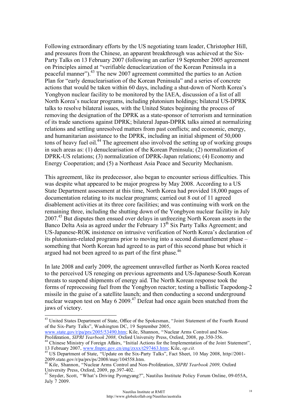Following extraordinary efforts by the US negotiating team leader, Christopher Hill, and pressures from the Chinese, an apparent breakthrough was achieved at the Six-Party Talks on 13 February 2007 (following an earlier 19 September 2005 agreement on Principles aimed at "verifiable denuclearization of the Korean Peninsula in a peaceful manner").43 The new 2007 agreement committed the parties to an Action Plan for "early denuclearisation of the Korean Peninsula" and a series of concrete actions that would be taken within 60 days, including a shut-down of North Korea's Yongbyon nuclear facility to be monitored by the IAEA, discussion of a list of all North Korea's nuclear programs, including plutonium holdings; bilateral US-DPRK talks to resolve bilateral issues, with the United States beginning the process of removing the designation of the DPRK as a state-sponsor of terrorism and termination of its trade sanctions against DPRK; bilateral Japan-DPRK talks aimed at normalizing relations and settling unresolved matters from past conflicts; and economic, energy, and humanitarian assistance to the DPRK, including an initial shipment of 50,000 tons of heavy fuel oil.<sup>44</sup> The agreement also involved the setting up of working groups in such areas as: (1) denuclearisation of the Korean Peninsula; (2) normalization of DPRK-US relations; (3) normalization of DPRK-Japan relations; (4) Economy and Energy Cooperation; and (5) a Northeast Asia Peace and Security Mechanism.

This agreement, like its predecessor, also began to encounter serious difficulties. This was despite what appeared to be major progress by May 2008. According to a US State Department assessment at this time, North Korea had provided 18,000 pages of documentation relating to its nuclear programs; carried out 8 out of 11 agreed disablement activities at its three core facilities; and was continuing with work on the remaining three, including the shutting down of the Yongbyon nuclear facility in July 2007<sup>45</sup> But disputes then ensued over delays in unfreezing North Korean assets in the Banco Delta Asia as agreed under the February  $13<sup>th</sup>$  Six Party Talks Agreement; and US-Japanese-ROK insistence on intrusive verification of North Korea's declaration of its plutonium-related programs prior to moving into a second dismantlement phase – something that North Korean had agreed to as part of this second phase but which it argued had not been agreed to as part of the first phase.<sup>46</sup>

In late 2008 and early 2009, the agreement unravelled further as North Korea reacted to the perceived US reneging on previous agreements and US-Japanese-South Korean threats to suspend shipments of energy aid. The North Korean response took the forms of reprocessing fuel from the Yongbyon reactor; testing a ballistic Taepodong-2 missile in the guise of a satellite launch; and then conducting a second underground nuclear weapon test on May 6 2009.<sup>47</sup> Defeat had once again been snatched from the jaws of victory.

<sup>&</sup>lt;sup>43</sup> United States Department of State. Office of the Spokesman, "Joint Statement of the Fourth Round of the Six-Party Talks", Washington DC, 19 September 2005,

www.state.gov/r/pa/prs/2005/53490.htm; Kile, Shannon, "Nuclear Arms Control and Non-<br>Proliferation, *SIPRI Yearbook 2008*, Oxford University Press, Oxford, 2008, pp.350-356.

<sup>&</sup>lt;sup>44</sup> Chinese Ministry of Foreign Affairs, "Initial Actions for the Implementation of the Joint Statement", 13 February 2007, www.fmprc.gov.cn/eng/zxxx/t297463.htm; Kile, *op.cit.* 45 US Department of State, "Update on the Six-Party Talks", Fact Sheet, 10 May 2008, http//2001-

<sup>2009.</sup>state.gov/r/pa/prs/ps/2008/may/104558.htm.

<sup>&</sup>lt;sup>46</sup> Kile, Shannon, "Nuclear Arms Control and Non-Proliferation, *SIPRI Yearbook 2009*, Oxford<br>University Press, Oxford, 2009, pp.397-402.

Snyder, Scott, "What's Driving Pyongyang?", Nautilus Institute Policy Forum Online, 09-055A, July 7 2009.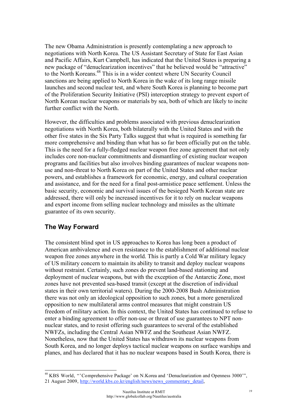The new Obama Administration is presently contemplating a new approach to negotiations with North Korea. The US Assistant Secretary of State for East Asian and Pacific Affairs, Kurt Campbell, has indicated that the United States is preparing a new package of "denuclearization incentives" that he believed would be "attractive" to the North Koreans.<sup>48</sup> This is in a wider context where UN Security Council sanctions are being applied to North Korea in the wake of its long range missile launches and second nuclear test, and where South Korea is planning to become part of the Proliferation Security Initiative (PSI) interception strategy to prevent export of North Korean nuclear weapons or materials by sea, both of which are likely to incite further conflict with the North.

However, the difficulties and problems associated with previous denuclearization negotiations with North Korea, both bilaterally with the United States and with the other five states in the Six Party Talks suggest that what is required is something far more comprehensive and binding than what has so far been officially put on the table. This is the need for a fully-fledged nuclear weapon free zone agreement that not only includes core non-nuclear commitments and dismantling of existing nuclear weapon programs and facilities but also involves binding guarantees of nuclear weapons nonuse and non-threat to North Korea on part of the United States and other nuclear powers, and establishes a framework for economic, energy, and cultural cooperation and assistance, and for the need for a final post-armistice peace settlement. Unless the basic security, economic and survival issues of the besieged North Korean state are addressed, there will only be increased incentives for it to rely on nuclear weapons and export income from selling nuclear technology and missiles as the ultimate guarantee of its own security.

# **The Way Forward**

The consistent blind spot in US approaches to Korea has long been a product of American ambivalence and even resistance to the establishment of additional nuclear weapon free zones anywhere in the world. This is partly a Cold War military legacy of US military concern to maintain its ability to transit and deploy nuclear weapons without restraint. Certainly, such zones do prevent land-based stationing and deployment of nuclear weapons, but with the exception of the Antarctic Zone, most zones have not prevented sea-based transit (except at the discretion of individual states in their own territorial waters). During the 2000-2008 Bush Administration there was not only an ideological opposition to such zones, but a more generalized opposition to new multilateral arms control measures that might constrain US freedom of military action. In this context, the United States has continued to refuse to enter a binding agreement to offer non-use or threat of use guarantees to NPT nonnuclear states, and to resist offering such guarantees to several of the established NWFZs, including the Central Asian NWFZ and the Southeast Asian NWFZ. Nonetheless, now that the United States has withdrawn its nuclear weapons from South Korea, and no longer deploys tactical nuclear weapons on surface warships and planes, and has declared that it has no nuclear weapons based in South Korea, there is

 <sup>48</sup> KBS World, "'Comprehensive Package' on N.Korea and 'Denuclearization and Openness 3000'", 21 August 2009, http://world.kbs.co.kr/english/news/news\_commentary\_detail,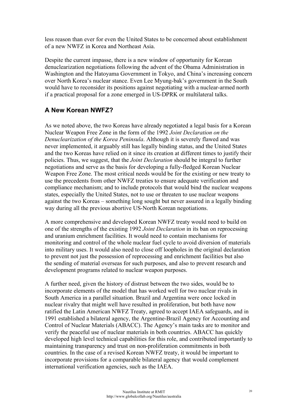less reason than ever for even the United States to be concerned about establishment of a new NWFZ in Korea and Northeast Asia.

Despite the current impasse, there is a new window of opportunity for Korean denuclearization negotiations following the advent of the Obama Administration in Washington and the Hatoyama Government in Tokyo, and China's increasing concern over North Korea's nuclear stance. Even Lee Myung-bak's government in the South would have to reconsider its positions against negotiating with a nuclear-armed north if a practical proposal for a zone emerged in US-DPRK or multilateral talks.

#### **A New Korean NWFZ?**

As we noted above, the two Koreas have already negotiated a legal basis for a Korean Nuclear Weapon Free Zone in the form of the 1992 *Joint Declaration on the Denuclearization of the Korea Peninsula*. Although it is severely flawed and was never implemented, it arguably still has legally binding status, and the United States and the two Koreas have relied on it since its creation at different times to justify their policies. Thus, we suggest, that the *Joint Declaration* should be integral to further negotiations and serve as the basis for developing a fully-fledged Korean Nuclear Weapon Free Zone. The most critical needs would be for the existing or new treaty to use the precedents from other NWFZ treaties to ensure adequate verification and compliance mechanism; and to include protocols that would bind the nuclear weapons states, especially the United States, not to use or threaten to use nuclear weapons against the two Koreas – something long sought but never assured in a legally binding way during all the previous abortive US-North Korean negotiations.

A more comprehensive and developed Korean NWFZ treaty would need to build on one of the strengths of the existing 1992 *Joint Declaration* in its ban on reprocessing and uranium enrichment facilities. It would need to contain mechanisms for monitoring and control of the whole nuclear fuel cycle to avoid diversion of materials into military uses. It would also need to close off loopholes in the original declaration to prevent not just the possession of reprocessing and enrichment facilities but also the sending of material overseas for such purposes, and also to prevent research and development programs related to nuclear weapon purposes.

A further need, given the history of distrust between the two sides, would be to incorporate elements of the model that has worked well for two nuclear rivals in South America in a parallel situation. Brazil and Argentina were once locked in nuclear rivalry that might well have resulted in proliferation, but both have now ratified the Latin American NWFZ Treaty, agreed to accept IAEA safeguards, and in 1991 established a bilateral agency, the Argentine-Brazil Agency for Accounting and Control of Nuclear Materials (ABACC). The Agency's main tasks are to monitor and verify the peaceful use of nuclear materials in both countries. ABACC has quickly developed high level technical capabilities for this role, and contributed importantly to maintaining transparency and trust on non-proliferation commitments in both countries. In the case of a revised Korean NWFZ treaty, it would be important to incorporate provisions for a comparable bilateral agency that would complement international verification agencies, such as the IAEA.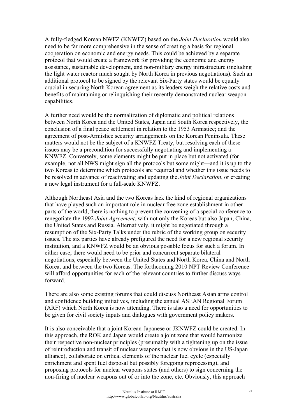A fully-fledged Korean NWFZ (KNWFZ) based on the *Joint Declaration* would also need to be far more comprehensive in the sense of creating a basis for regional cooperation on economic and energy needs. This could be achieved by a separate protocol that would create a framework for providing the economic and energy assistance, sustainable development, and non-military energy infrastructure (including the light water reactor much sought by North Korea in previous negotiations). Such an additional protocol to be signed by the relevant Six-Party states would be equally crucial in securing North Korean agreement as its leaders weigh the relative costs and benefits of maintaining or relinquishing their recently demonstrated nuclear weapon capabilities.

A further need would be the normalization of diplomatic and political relations between North Korea and the United States, Japan and South Korea respectively, the conclusion of a final peace settlement in relation to the 1953 Armistice; and the agreement of post-Armistice security arrangements on the Korean Peninsula. These matters would not be the subject of a KNWFZ Treaty, but resolving each of these issues may be a precondition for successfully negotiating and implementing a KNWFZ. Conversely, some elements might be put in place but not activated (for example, not all NWS might sign all the protocols but some might—and it is up to the two Koreas to determine which protocols are required and whether this issue needs to be resolved in advance of reactivating and updating the *Joint Declaration*, or creating a new legal instrument for a full-scale KNWFZ.

Although Northeast Asia and the two Koreas lack the kind of regional organizations that have played such an important role in nuclear free zone establishment in other parts of the world, there is nothing to prevent the convening of a special conference to renegotiate the 1992 *Joint Agreement*, with not only the Koreas but also Japan, China, the United States and Russia. Alternatively, it might be negotiated through a resumption of the Six-Party Talks under the rubric of the working group on security issues. The six parties have already prefigured the need for a new regional security institution, and a KNWFZ would be an obvious possible focus for such a forum. In either case, there would need to be prior and concurrent separate bilateral negotiations, especially between the United States and North Korea, China and North Korea, and between the two Koreas. The forthcoming 2010 NPT Review Conference will afford opportunities for each of the relevant countries to further discuss ways forward.

There are also some existing forums that could discuss Northeast Asian arms control and confidence building initiatives, including the annual ASEAN Regional Forum (ARF) which North Korea is now attending. There is also a need for opportunities to be given for civil society inputs and dialogues with government policy makers.

It is also conceivable that a joint Korean-Japanese or JKNWFZ could be created. In this approach, the ROK and Japan would create a joint zone that would harmonize their respective non-nuclear principles (presumably with a tightening up on the issue of reintroduction and transit of nuclear weapons that is now obvious in the US-Japan alliance), collaborate on critical elements of the nuclear fuel cycle (especially enrichment and spent fuel disposal but possibly foregoing reprocessing), and proposing protocols for nuclear weapons states (and others) to sign concerning the non-firing of nuclear weapons out of or into the zone, etc. Obviously, this approach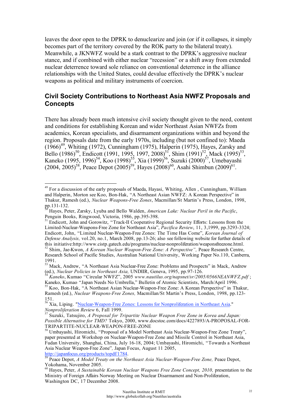leaves the door open to the DPRK to denuclearize and join (or if it collapses, it simply becomes part of the territory covered by the ROK party to the bilateral treaty). Meanwhile, a JKNWFZ would be a stark contrast to the DPRK's aggressive nuclear stance, and if combined with either nuclear "recession" or a shift away from extended nuclear deterrence toward sole reliance on conventional deterrence in the alliance relationships with the United States, could devalue effectively the DPRK's nuclear weapons as political and military instruments of coercion.

#### **Civil Society Contributions to Northeast Asia NWFZ Proposals and Concepts**

There has already been much intensive civil society thought given to the need, content and conditions for establishing Korean and wider Northeast Asian NWFZs from academics, Korean specialists, and disarmament organizations within and beyond the region. Proposals date from the early 1970s, including (but not confined to): Maeda  $(1966)^{49}$ , Whiting (1972), Cunningham (1975), Halperin (1975), Hayes, Zarsky and Bello (1986)<sup>50</sup>, Endicott (1991, 1995, 1997, 2008)<sup>51</sup>, Shim (1991)<sup>52</sup>, Mack (1995)<sup>53</sup>, Kaneko (1995, 1996)<sup>54</sup>, Koo (1998)<sup>55</sup>, Xia (1999)<sup>56</sup>, Suzuki (2000)<sup>57</sup>, Umebayashi  $(2004, 2005)^{58}$ , Peace Depot  $(2005)^{59}$ , Hayes  $(2008)^{60}$ , Asahi Shimbun  $(2009)^{61}$ .

<sup>&</sup>lt;sup>49</sup> For a discussion of the early proposals of Maeda, Hayasi, Whiting, Allen, Cunningham, William and Halperin, Morton see Koo, Bon-Hak, "A Northeast Asian NWFZ: A Korean Perspective" in Thakur, Ramesh (ed.), *Nuclear Weapons-Free Zones*, Macmillan/St Martin's Press, London, 1998,

<sup>&</sup>lt;sup>50</sup> Hayes, Peter, Zarsky, Lyuba and Bello Walden, *American Lake: Nuclear Peril in the Pacific*, Penguin Books, Ringwood, Victoria, 1986, pp.395-398.

Endicott, John and Gorowitz, "Track-II Cooperative Regional Security Efforts: Lessons from the Limited-Nuclear-Weapons-Free Zone for Northeast Asia", *Pacifica Review*, 11, 3,1999, pp.3293-3324; Endicott, John, "Limited Nuclear-Weapon-Free Zones: The Time Has Come", *Korean Journal of Defense Analysis,* vol.20, no.1, March 2008, pp.13-26; also see following website for further details of this initiative:http://www.cistp.gatech.edu/programs/nuclear-nonproliferation/weaponsfreezone.html. 52 Shim, Jae-Kwon, *A Korean Nuclear Weapon-Free Zone: A Perspective",* Peace Research Centre,

Research School of Pacific Studies, Australian National University, Working Paper No.110, Canberra, 1991.

 $^{53}_{53}$  Mack, Andrew, "A Northeast Asia Nuclear-Free Zone: Problems and Prospects" in Mack, Andrew (ed.), *Nuclear Policies in Northeast Asia*, UNDIIR, Geneva, 1995, pp.97-126.

<sup>(</sup>ed.), *Nuclear Policies in Northeast Asia,* UNDIIR, Geneva, 1995, pp.97-126. <sup>54</sup> *Kaneko*, Kumao "Circular NWFZ", 2005 *www.nautilus.org/napsnet/sr/2005/0566NEANWFZ.pdf* ; Kaneko, Kumao "Japan Needs No Umbrella," Bulletin of Atomic Scientists, March/April 1996.<br>
<sup>55</sup> Koo, Bon-Hak, "A Northeast Asian Nuclear-Weapon-Free Zone: A Korean Perspective" in Thakur,

Ramesh (ed.), *Nuclear Weapons-Free Zones,* Macmillan/St Martin's Press, London, 1998, pp.123- 151.

<sup>&</sup>lt;sup>56</sup> Xia, Liping. "Nuclear-Weapon-Free Zones: Lessons for Nonproliferation in Northeast Asia." *Nonproliferation Review* 6, Fall 1999. 57 Suzuki, Tatsujiro, *A Proposal for Tripartite Nuclear Weapon Free Zone in Korea and Japan:* 

*Possible Alternative for TMD?* Tokyo, 2000, www.docstoc.com/docs/4227893/A-PROPOSAL-FOR-TRIPARTITE-NUCLEAR-WEAPON-FREE-ZONE 58 Umbayashi, Hiromichi, "Proposal of a Model Northeast Asia Nuclear-Weapon-Free Zone Treaty",

paper presented at Workshop on Nuclear-Weapon-Free Zone and Missile Control in Northeast Asia, Fudan University, Shanghai, China, July 16-18, 2004; Umbayashi, Hiromichi, "Towards a Northeast Asia Nuclear Weapon-Free Zone", Japan Focus, August 11 2005, http://japanfocus.org/products/topdf/1784.

http://groot.org/products/topdatage/products/topdatage/sear-Weapon-Free Zone, Peace Depot, *Peace Depot*, *Peace Depot*, *Peace Depot*, *Peace Depot*, *Peace Depot*, *Peace Depot*, *Peace Depot*, *Peace Depot*, *Peace Depo* Yokohama, November 2005.

Hayes, Peter, *A Sustainable Korean Nuclear Weapons Free Zone Concept, 2010*, presentation to the Ministry of Foreign Affairs Norway Meeting on Nuclear Disarmament and Non-Proliferation, Washington DC, 17 December 2008.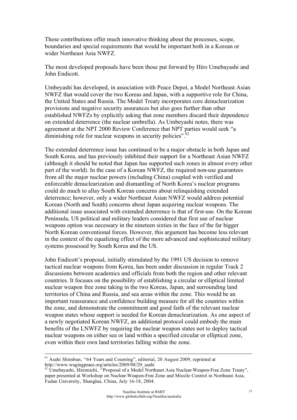These contributions offer much innovative thinking about the processes, scope, boundaries and special requirements that would be important both in a Korean or wider Northeast Asia NWFZ.

The most developed proposals have been those put forward by Hiro Umebayashi and John Endicott.

Umbeyashi has developed, in association with Peace Depot, a Model Northeast Asian NWFZ that would cover the two Koreas and Japan, with a supportive role for China, the United States and Russia. The Model Treaty incorporates core denuclearization provisions and negative security assurances but also goes further than other established NWFZs by explicitly asking that zone members discard their dependence on extended deterrence (the nuclear umbrella). As Umbeyashi notes, there was agreement at the NPT 2000 Review Conference that NPT parties would seek "a diminishing role for nuclear weapons in security policies".  $62$ 

The extended deterrence issue has continued to be a major obstacle in both Japan and South Korea, and has previously inhibited their support for a Northeast Asian NWFZ (although it should be noted that Japan has supported such zones in almost every other part of the world). In the case of a Korean NWFZ, the required non-use guarantees from all the major nuclear powers (including China) coupled with verified and enforceable denuclearization and dismantling of North Korea's nuclear programs could do much to allay South Korean concerns about relinquishing extended deterrence; however, only a wider Northeast Asian NWFZ would address potential Korean (North and South) concerns about Japan acquiring nuclear weapons. The additional issue associated with extended deterrence is that of first-use. On the Korean Peninsula, US political and military leaders considered that first use of nuclear weapons option was necessary in the nineteen sixties in the face of the far bigger North Korean conventional forces. However, this argument has become less relevant in the context of the equalizing effect of the more advanced and sophisticated military systems possessed by South Korea and the US.

John Endicott's proposal, initially stimulated by the 1991 US decision to remove tactical nuclear weapons from Korea, has been under discussion in regular Track 2 discussions between academics and officials from both the region and other relevant countries. It focuses on the possibility of establishing a circular or elliptical limited nuclear weapon free zone taking in the two Koreas, Japan, and surrounding land territories of China and Russia, and sea areas within the zone. This would be an important reassurance and confidence building measure for all the countries within the zone, and demonstrate the commitment and good faith of the relevant nuclear weapon states whose support is needed for Korean denuclearization. As one aspect of a newly negotiated Korean NWFZ, an additional protocol could embody the main benefits of the LNWFZ by requiring the nuclear weapon states not to deploy tactical nuclear weapons on either sea or land within a specified circular or elliptical zone, even within their own land territories falling within the zone.

<sup>&</sup>lt;sup>61</sup> Asahi Shimbun, "64 Years and Counting", editorial, 20 August 2009, reprinted at http://www.wagingpeace.org/articles/2009/08/20 asahi

Umebayashi, Hiromichi, "Proposal of a Model Northeast Asia Nuclear-Weapon-Free Zone Treaty", paper presented at Workshop on Nuclear-Weapon-Free Zone and Missile Control in Northeast Asia, Fudan University, Shanghai, China, July 16-18, 2004.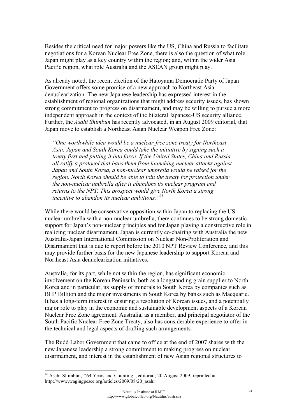Besides the critical need for major powers like the US, China and Russia to facilitate negotiations for a Korean Nuclear Free Zone, there is also the question of what role Japan might play as a key country within the region; and, within the wider Asia Pacific region, what role Australia and the ASEAN group might play.

As already noted, the recent election of the Hatoyama Democratic Party of Japan Government offers some promise of a new approach to Northeast Asia denuclearization. The new Japanese leadership has expressed interest in the establishment of regional organizations that might address security issues, has shown strong commitment to progress on disarmament, and may be willing to pursue a more independent approach in the context of the bilateral Japanese-US security alliance. Further, the *Asahi Shimbun* has recently advocated, in an August 2009 editorial, that Japan move to establish a Northeast Asian Nuclear Weapon Free Zone:

*"One worthwhile idea would be a nuclear-free zone treaty for Northeast Asia. Japan and South Korea could take the initiative by signing such a treaty first and putting it into force. If the United States, China and Russia all ratify a protocol that bans them from launching nuclear attacks against Japan and South Korea, a non-nuclear umbrella would be raised for the region. North Korea should be able to join the treaty for protection under the non-nuclear umbrella after it abandons its nuclear program and returns to the NPT. This prospect would give North Korea a strong incentive to abandon its nuclear ambitions."63*

While there would be conservative opposition within Japan to replacing the US nuclear umbrella with a non-nuclear umbrella, there continues to be strong domestic support for Japan's non-nuclear principles and for Japan playing a constructive role in realizing nuclear disarmament. Japan is currently co-chairing with Australia the new Australia-Japan International Commission on Nuclear Non-Proliferation and Disarmament that is due to report before the 2010 NPT Review Conference, and this may provide further basis for the new Japanese leadership to support Korean and Northeast Asia denuclearization initiatives.

Australia, for its part, while not within the region, has significant economic involvement on the Korean Peninsula, both as a longstanding grain supplier to North Korea and in particular, its supply of minerals to South Korea by companies such as BHP Billiton and the major investments in South Korea by banks such as Macquarie. It has a long-term interest in ensuring a resolution of Korean issues, and a potentially major role to play in the economic and sustainable development aspects of a Korean Nuclear Free Zone agreement. Australia, as a member, and principal negotiator of the South Pacific Nuclear Free Zone Treaty, also has considerable experience to offer in the technical and legal aspects of drafting such arrangements.

The Rudd Labor Government that came to office at the end of 2007 shares with the new Japanese leadership a strong commitment to making progress on nuclear disarmament, and interest in the establishment of new Asian regional structures to

 <sup>63</sup> Asahi Shimbun, "64 Years and Counting", editorial, 20 August 2009, reprinted at http://www.wagingpeace.org/articles/2009/08/20\_asahi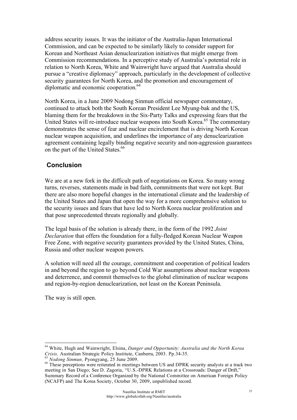address security issues. It was the initiator of the Australia-Japan International Commission, and can be expected to be similarly likely to consider support for Korean and Northeast Asian denuclearization initiatives that might emerge from Commission recommendations. In a perceptive study of Australia's potential role in relation to North Korea, White and Wainwright have argued that Australia should pursue a "creative diplomacy" approach, particularly in the development of collective security guarantees for North Korea, and the promotion and encouragement of diplomatic and economic cooperation.<sup>64</sup>

North Korea, in a June 2009 Nodong Sinmun official newspaper commentary, continued to attack both the South Korean President Lee Myung-bak and the US, blaming them for the breakdown in the Six-Party Talks and expressing fears that the United States will re-introduce nuclear weapons into South Korea.<sup>65</sup> The commentary demonstrates the sense of fear and nuclear encirclement that is driving North Korean nuclear weapon acquisition, and underlines the importance of any denuclearization agreement containing legally binding negative security and non-aggression guarantees on the part of the United States.<sup>66</sup>

# **Conclusion**

We are at a new fork in the difficult path of negotiations on Korea. So many wrong turns, reverses, statements made in bad faith, commitments that were not kept. But there are also more hopeful changes in the international climate and the leadership of the United States and Japan that open the way for a more comprehensive solution to the security issues and fears that have led to North Korea nuclear proliferation and that pose unprecedented threats regionally and globally.

The legal basis of the solution is already there, in the form of the 1992 *Joint Declaration* that offers the foundation for a fully-fledged Korean Nuclear Weapon Free Zone, with negative security guarantees provided by the United States, China, Russia and other nuclear weapon powers.

A solution will need all the courage, commitment and cooperation of political leaders in and beyond the region to go beyond Cold War assumptions about nuclear weapons and deterrence, and commit themselves to the global elimination of nuclear weapons and region-by-region denuclearization, not least on the Korean Peninsula.

The way is still open.

<sup>64</sup> White, Hugh and Wainwright, Elsina, *Danger and Opportunity: Australia and the North Korea Crisis, Australian Strategic Policy Institute, Canberra, 2003. Pp.34-35.* 

<sup>&</sup>lt;sup>65</sup> Nodong Sinmun, Pyongyang, 25 June 2009.<br><sup>66</sup> These perceptions were reiterated in meetings between US and DPRK security analysts at a track two meeting in San Diego; See D. Zagoria, "U.S.-DPRK Relations at a Crossroads: Danger of Drift," Summary Record of a Conference Organized by the National Committee on American Foreign Policy (NCAFP) and The Korea Society, October 30, 2009, unpublished record.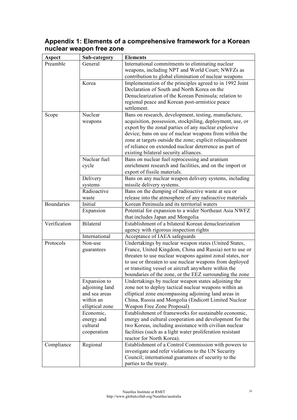#### **Aspect Sub-category Elements** General International commitments to eliminating nuclear weapons, including NPT and World Court; NWFZs as contribution to global elimination of nuclear weapons Preamble Korea Implementation of the principles agreed to in 1992 Joint Declaration of South and North Korea on the Denuclearization of the Korean Peninsula; relation to regional peace and Korean post-armistice peace settlement. Nuclear weapons Bans on research, development, testing, manufacture, acquisition, possession, stockpiling, deployment, use, or export by the zonal parties of any nuclear explosive device; bans on use of nuclear weapons from within the zone at targets outside the zone; explicit relinquishment of reliance on extended nuclear deterrence as part of existing bilateral security alliances. Nuclear fuel cycle Bans on nuclear fuel reprocessing and uranium enrichment research and facilities, and on the import or export of fissile materials. Delivery systems Bans on any nuclear weapon delivery systems, including missile delivery systems. Scope Radioactive waste Bans on the dumping of radioactive waste at sea or release into the atmosphere of any radioactive materials Boundaries Initial Korean Peninsula and its territorial waters Expansion Potential for expansion to a wider Northeast Asia NWFZ that includes Japan and Mongolia Bilateral Establishment of a bilateral Korean denuclearization agency with rigorous inspection rights Verification International Acceptance of IAEA safeguards Non-use guarantees Undertakings by nuclear weapon states (United States, France, United Kingdom, China and Russia) not to use or threaten to use nuclear weapons against zonal states, nor to use or threaten to use nuclear weapons from deployed or transiting vessel or aircraft anywhere within the boundaries of the zone, or the EEZ surrounding the zone Expansion to adjoining land and sea areas within an elliptical zone Undertakings by nuclear weapon states adjoining the zone not to deploy tactical nuclear weapons within an elliptical zone encompassing adjoining land areas in China, Russia and Mongolia (Endicott Limited Nuclear Weapon Free Zone Proposal) Protocols Economic, energy and cultural cooperation Establishment of frameworks for sustainable economic, energy and cultural cooperation and development for the two Koreas, including assistance with civilian nuclear facilities (such as a light water proliferation resistant reactor for North Korea). Compliance Regional Establishment of a Control Commission with powers to investigate and refer violations to the UN Security Council; international guarantees of security to the parties to the treaty.

# **Appendix 1: Elements of a comprehensive framework for a Korean nuclear weapon free zone**